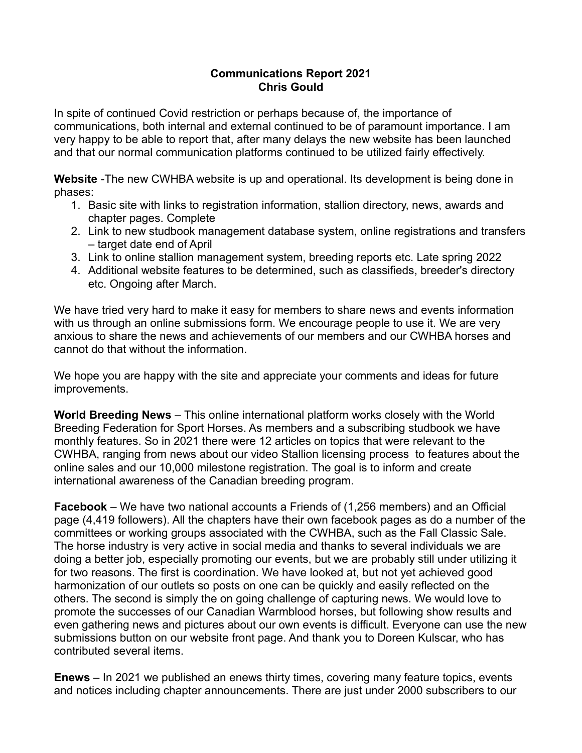## **Communications Report 2021 Chris Gould**

In spite of continued Covid restriction or perhaps because of, the importance of communications, both internal and external continued to be of paramount importance. I am very happy to be able to report that, after many delays the new website has been launched and that our normal communication platforms continued to be utilized fairly effectively.

**Website** -The new CWHBA website is up and operational. Its development is being done in phases:

- 1. Basic site with links to registration information, stallion directory, news, awards and chapter pages. Complete
- 2. Link to new studbook management database system, online registrations and transfers – target date end of April
- 3. Link to online stallion management system, breeding reports etc. Late spring 2022
- 4. Additional website features to be determined, such as classifieds, breeder's directory etc. Ongoing after March.

We have tried very hard to make it easy for members to share news and events information with us through an online submissions form. We encourage people to use it. We are very anxious to share the news and achievements of our members and our CWHBA horses and cannot do that without the information.

We hope you are happy with the site and appreciate your comments and ideas for future improvements.

**World Breeding News** – This online international platform works closely with the World Breeding Federation for Sport Horses. As members and a subscribing studbook we have monthly features. So in 2021 there were 12 articles on topics that were relevant to the CWHBA, ranging from news about our video Stallion licensing process to features about the online sales and our 10,000 milestone registration. The goal is to inform and create international awareness of the Canadian breeding program.

**Facebook** – We have two national accounts a Friends of (1,256 members) and an Official page (4,419 followers). All the chapters have their own facebook pages as do a number of the committees or working groups associated with the CWHBA, such as the Fall Classic Sale. The horse industry is very active in social media and thanks to several individuals we are doing a better job, especially promoting our events, but we are probably still under utilizing it for two reasons. The first is coordination. We have looked at, but not yet achieved good harmonization of our outlets so posts on one can be quickly and easily reflected on the others. The second is simply the on going challenge of capturing news. We would love to promote the successes of our Canadian Warmblood horses, but following show results and even gathering news and pictures about our own events is difficult. Everyone can use the new submissions button on our website front page. And thank you to Doreen Kulscar, who has contributed several items.

**Enews** – In 2021 we published an enews thirty times, covering many feature topics, events and notices including chapter announcements. There are just under 2000 subscribers to our